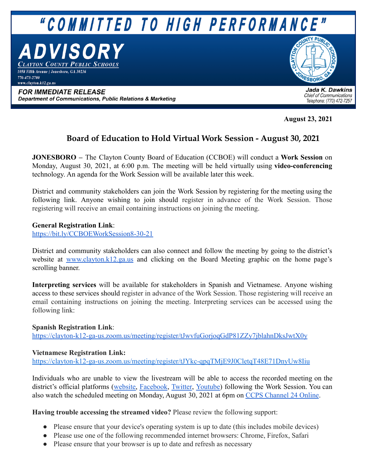

**August 23, 2021**

# **Board of Education to Hold Virtual Work Session - August 30, 2021**

**JONESBORO –** The Clayton County Board of Education (CCBOE) will conduct a **Work Session** on Monday, August 30, 2021, at 6:00 p.m. The meeting will be held virtually using **video-conferencing** technology. An agenda for the Work Session will be available later this week.

District and community stakeholders can join the Work Session by registering for the meeting using the following link. Anyone wishing to join should register in advance of the Work Session. Those registering will receive an email containing instructions on joining the meeting.

### **General Registration Link**:

<https://bit.ly/CCBOEWorkSession8-30-21>

District and community stakeholders can also connect and follow the meeting by going to the district's website at [www.clayton.k12.ga.us](http://www.clayton.k12.ga.us) and clicking on the Board Meeting graphic on the home page's scrolling banner.

**Interpreting services** will be available for stakeholders in Spanish and Vietnamese. Anyone wishing access to these services should register in advance of the Work Session. Those registering will receive an email containing instructions on joining the meeting. Interpreting services can be accessed using the following link:

#### **Spanish Registration Link**:

<https://clayton-k12-ga-us.zoom.us/meeting/register/tJwvfuGorjoqGdP81ZZy7jblahnDksJwtX0y>

#### **Vietnamese Registration Link:**

<https://clayton-k12-ga-us.zoom.us/meeting/register/tJYkc-qpqTMjE9J0CletqT48E71DnyUw8Iiu>

Individuals who are unable to view the livestream will be able to access the recorded meeting on the district's official platforms ([website,](http://www.clayton.k12.ga.us) [Facebook](http://www.facebook.com/ccpsnews), [Twitter](http://www.twitter.com/ccpsnews), [Youtube](http://www.youtube.com/ccpsnews)) following the Work Session. You can also watch the scheduled meeting on Monday, August 30, 2021 at 6pm on [CCPS Channel 24 Online](https://www.clayton.k12.ga.us/cms/One.aspx?portalId=54515&pageId=1203365).

**Having trouble accessing the streamed video?** Please review the following support:

- Please ensure that your device's operating system is up to date (this includes mobile devices)
- Please use one of the following recommended internet browsers: Chrome, Firefox, Safari
- Please ensure that your browser is up to date and refresh as necessary